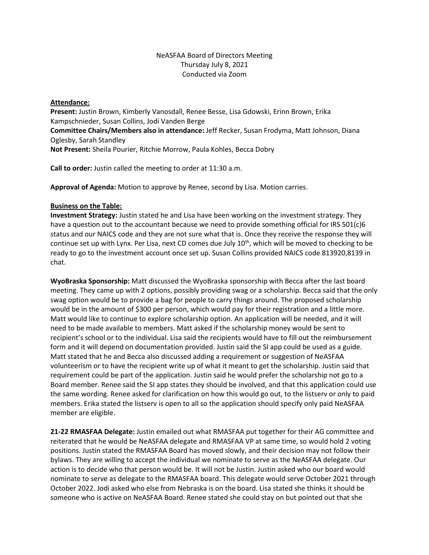# NeASFAA Board of Directors Meeting Thursday July 8, 2021 Conducted via Zoom

## **Attendance:**

**Present:** Justin Brown, Kimberly Vanosdall, Renee Besse, Lisa Gdowski, Erinn Brown, Erika Kampschnieder, Susan Collins, Jodi Vanden Berge **Committee Chairs/Members also in attendance:** Jeff Recker, Susan Frodyma, Matt Johnson, Diana Oglesby, Sarah Standley **Not Present:** Sheila Pourier, Ritchie Morrow, Paula Kohles, Becca Dobry

**Call to order:** Justin called the meeting to order at 11:30 a.m.

**Approval of Agenda:** Motion to approve by Renee, second by Lisa. Motion carries.

## **Business on the Table:**

**Investment Strategy:** Justin stated he and Lisa have been working on the investment strategy. They have a question out to the accountant because we need to provide something official for IRS 501(c)6 status and our NAICS code and they are not sure what that is. Once they receive the response they will continue set up with Lynx. Per Lisa, next CD comes due July 10<sup>th</sup>, which will be moved to checking to be ready to go to the investment account once set up. Susan Collins provided NAICS code 813920,8139 in chat.

**WyoBraska Sponsorship:** Matt discussed the WyoBraska sponsorship with Becca after the last board meeting. They came up with 2 options, possibly providing swag or a scholarship. Becca said that the only swag option would be to provide a bag for people to carry things around. The proposed scholarship would be in the amount of \$300 per person, which would pay for their registration and a little more. Matt would like to continue to explore scholarship option. An application will be needed, and it will need to be made available to members. Matt asked if the scholarship money would be sent to recipient's school or to the individual. Lisa said the recipients would have to fill out the reimbursement form and it will depend on documentation provided. Justin said the SI app could be used as a guide. Matt stated that he and Becca also discussed adding a requirement or suggestion of NeASFAA volunteerism or to have the recipient write up of what it meant to get the scholarship. Justin said that requirement could be part of the application. Justin said he would prefer the scholarship not go to a Board member. Renee said the SI app states they should be involved, and that this application could use the same wording. Renee asked for clarification on how this would go out, to the listserv or only to paid members. Erika stated the listserv is open to all so the application should specify only paid NeASFAA member are eligible.

**21-22 RMASFAA Delegate:** Justin emailed out what RMASFAA put together for their AG committee and reiterated that he would be NeASFAA delegate and RMASFAA VP at same time, so would hold 2 voting positions. Justin stated the RMASFAA Board has moved slowly, and their decision may not follow their bylaws. They are willing to accept the individual we nominate to serve as the NeASFAA delegate. Our action is to decide who that person would be. It will not be Justin. Justin asked who our board would nominate to serve as delegate to the RMASFAA board. This delegate would serve October 2021 through October 2022. Jodi asked who else from Nebraska is on the board. Lisa stated she thinks it should be someone who is active on NeASFAA Board. Renee stated she could stay on but pointed out that she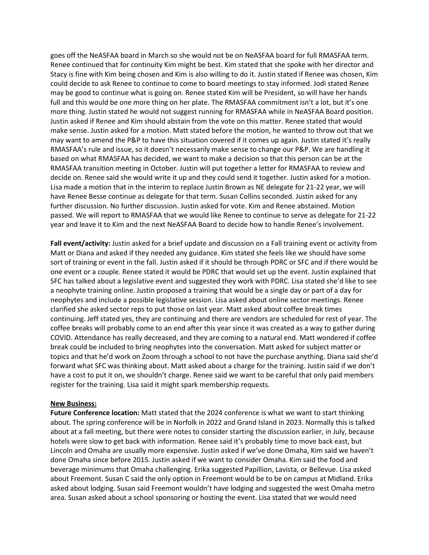goes off the NeASFAA board in March so she would not be on NeASFAA board for full RMASFAA term. Renee continued that for continuity Kim might be best. Kim stated that she spoke with her director and Stacy is fine with Kim being chosen and Kim is also willing to do it. Justin stated if Renee was chosen, Kim could decide to ask Renee to continue to come to board meetings to stay informed. Jodi stated Renee may be good to continue what is going on. Renee stated Kim will be President, so will have her hands full and this would be one more thing on her plate. The RMASFAA commitment isn't a lot, but it's one more thing. Justin stated he would not suggest running for RMASFAA while in NeASFAA Board position. Justin asked if Renee and Kim should abstain from the vote on this matter. Renee stated that would make sense. Justin asked for a motion. Matt stated before the motion, he wanted to throw out that we may want to amend the P&P to have this situation covered if it comes up again. Justin stated it's really RMASFAA's rule and issue, so it doesn't necessarily make sense to change our P&P. We are handling it based on what RMASFAA has decided, we want to make a decision so that this person can be at the RMASFAA transition meeting in October. Justin will put together a letter for RMASFAA to review and decide on. Renee said she would write it up and they could send it together. Justin asked for a motion. Lisa made a motion that in the interim to replace Justin Brown as NE delegate for 21-22 year, we will have Renee Besse continue as delegate for that term. Susan Collins seconded. Justin asked for any further discussion. No further discussion. Justin asked for vote. Kim and Renee abstained. Motion passed. We will report to RMASFAA that we would like Renee to continue to serve as delegate for 21-22 year and leave it to Kim and the next NeASFAA Board to decide how to handle Renee's involvement.

**Fall event/activity:** Justin asked for a brief update and discussion on a Fall training event or activity from Matt or Diana and asked if they needed any guidance. Kim stated she feels like we should have some sort of training or event in the fall. Justin asked if it should be through PDRC or SFC and if there would be one event or a couple. Renee stated it would be PDRC that would set up the event. Justin explained that SFC has talked about a legislative event and suggested they work with PDRC. Lisa stated she'd like to see a neophyte training online. Justin proposed a training that would be a single day or part of a day for neophytes and include a possible legislative session. Lisa asked about online sector meetings. Renee clarified she asked sector reps to put those on last year. Matt asked about coffee break times continuing. Jeff stated yes, they are continuing and there are vendors are scheduled for rest of year. The coffee breaks will probably come to an end after this year since it was created as a way to gather during COVID. Attendance has really decreased, and they are coming to a natural end. Matt wondered if coffee break could be included to bring neophytes into the conversation. Matt asked for subject matter or topics and that he'd work on Zoom through a school to not have the purchase anything. Diana said she'd forward what SFC was thinking about. Matt asked about a charge for the training. Justin said if we don't have a cost to put it on, we shouldn't charge. Renee said we want to be careful that only paid members register for the training. Lisa said it might spark membership requests.

#### **New Business:**

**Future Conference location:** Matt stated that the 2024 conference is what we want to start thinking about. The spring conference will be in Norfolk in 2022 and Grand Island in 2023. Normally this is talked about at a fall meeting, but there were notes to consider starting the discussion earlier, in July, because hotels were slow to get back with information. Renee said it's probably time to move back east, but Lincoln and Omaha are usually more expensive. Justin asked if we've done Omaha, Kim said we haven't done Omaha since before 2015. Justin asked if we want to consider Omaha. Kim said the food and beverage minimums that Omaha challenging. Erika suggested Papillion, Lavista, or Bellevue. Lisa asked about Freemont. Susan C said the only option in Freemont would be to be on campus at Midland. Erika asked about lodging. Susan said Freemont wouldn't have lodging and suggested the west Omaha metro area. Susan asked about a school sponsoring or hosting the event. Lisa stated that we would need